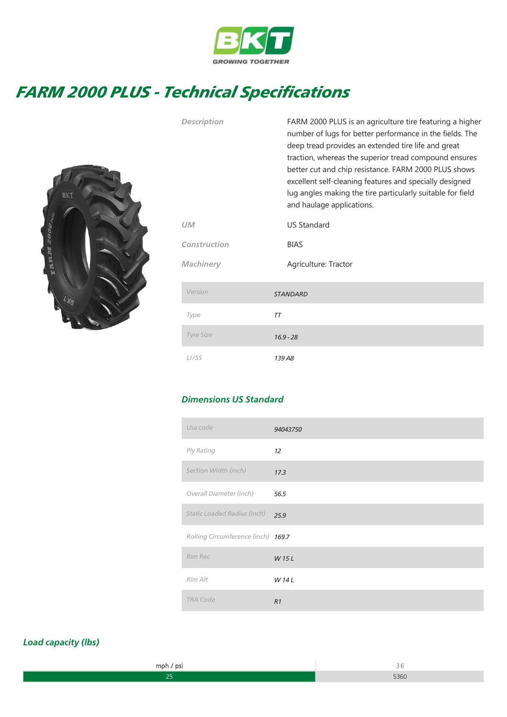

## FARM 2000 PLUS - Technical Specifications



| <b>Description</b> | FARM 2000 PLUS is an agriculture tire featuring a higher<br>number of lugs for better performance in the fields. The<br>deep tread provides an extended tire life and great<br>traction, whereas the superior tread compound ensures<br>better cut and chip resistance. FARM 2000 PLUS shows<br>excellent self-cleaning features and specially designed<br>lug angles making the tire particularly suitable for field<br>and haulage applications. |
|--------------------|----------------------------------------------------------------------------------------------------------------------------------------------------------------------------------------------------------------------------------------------------------------------------------------------------------------------------------------------------------------------------------------------------------------------------------------------------|
| <b>UM</b>          | <b>US Standard</b>                                                                                                                                                                                                                                                                                                                                                                                                                                 |
| Construction       | <b>BIAS</b>                                                                                                                                                                                                                                                                                                                                                                                                                                        |
| <b>Machinery</b>   | Agriculture: Tractor                                                                                                                                                                                                                                                                                                                                                                                                                               |
| Version            | <b>STANDARD</b>                                                                                                                                                                                                                                                                                                                                                                                                                                    |
| Type               | ТT                                                                                                                                                                                                                                                                                                                                                                                                                                                 |
| <b>Tyre Size</b>   | $16.9 - 28$                                                                                                                                                                                                                                                                                                                                                                                                                                        |
| L <sub>I</sub> /SS | 139 A8                                                                                                                                                                                                                                                                                                                                                                                                                                             |

## Dimensions US Standard

| Usa code                           | 94043750 |
|------------------------------------|----------|
| Ply Rating                         | 12       |
| Section Width (inch)               | 17.3     |
| Overall Diameter (inch)            | 56.5     |
| <b>Static Loaded Radius (inch)</b> | 25.9     |
| Rolling Circumference (inch) 169.7 |          |
| Rim Rec                            | W 15L    |
| Rim Alt                            | W 14 L   |
| <b>TRA Code</b>                    | R1       |

## Load capacity (lbs)

| nnr | the contract of the contract of |
|-----|---------------------------------|
|     |                                 |